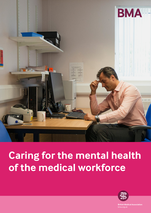

# **Caring for the mental health of the medical workforce**



**British Medical Association** bma.org.uk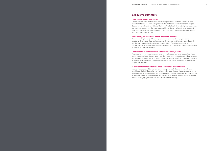## <span id="page-1-0"></span>**Executive summary**

### **Doctors can be vulnerable too**

Doctors are dedicated professionals who wish to provide the best care possible to their patients. But at any one time, a proportion of the medical workforce must also manage a diagnosed mental health condition of their own. Mental health is not static; it can deteriorate but it can improve too and there are opportunities for doctors to learn from and support each other through their own experience. Experiencing poor mental health should not be associated with failing as a doctor.

### **The working environment has an impact on doctors**

Doctors working the longest hours appear to be most vulnerable to psychological and emotional disturbance. Older and more senior doctors are most likely to report that their working environment has impacted on their condition. These findings should serve as caution against the idea that doctors can deliver ever more with fewer resources, regardless of the cost to their own wellbeing.

### **Doctors should have access to support when they need it**

Awareness of how to access support varies, as does the extent to which support meets the needs of doctors. Junior doctors were most likely to say they were not aware of how to access help or support. Worryingly, older doctors, SAS and overseas qualified doctors are most likely to say they have asked for support in managing a problem from their employer but that no support was provided.

### **Future doctors are better informed about their mental health**

Medical students report the highest rate of having a formally diagnosed mental health condition in the last 12 months. Positively, they also report having high awareness of how to access support at their place of study. While studying medicine undeniably has the potential to subject students to considerable stress, there are some tentative indications that future doctors are engaging more in their mental health and wellbeing.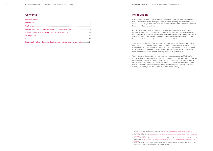## **Introduction**

Its workforce is the NHS's most valuable asset - without doctors the NHS could not exist. With 1.7 million workers it is the largest employer in the UK (fifth globally).<sup>1</sup> Securing the health and wellbeing of these workers is crucial in order to ensure that the service is able to deliver the best care for patients.

Mental health problems are the single largest source of burden of disease in the UK, affecting around one in four people.<sup>2</sup> Although in recent years mental health awareness among the general population has improved, it remains a taboo subject among the medical profession. Previous research has found that doctors and medical students are hesitant to disclose a mental health condition and are reluctant to seek help.3

To increase understanding of the prevalence of mental health issues among the medical profession, attitudes towards seeking support, and whether the support services currently available meet service users' needs, the BMA launched a major project in 2018. The overall aim of the project is to inform the development of policy solutions that will improve the mental health of the workforce and ultimately lead to better patient care.

This report marks the first stage of the project and provides a summary of findings from a large-scale survey of both doctors and medical students. The survey, which was open to BMA members and non-members across the UK from 10 to 31 October 2018, received over 4,300 responses including around 1,400 medical students.<sup>4</sup> The survey provides a quantitative overview of experiences and attitudes to mental health and offers a starting point for the next stage of our project which is a more in-depth qualitative study.

1 Nuffield Trust (2019) The NHS workforce in numbers [https://www.nuffieldtrust.org.uk/resource/the-nhs-](https://www.nuffieldtrust.org.uk/resource/the-nhs-workforce-in-numbers)

2 BMA (2018) 'Mental health,' [https://www.bma.org.uk/collective-voice/policy-and-research/public-and-population-](https://www.bma.org.uk/collective-voice/policy-and-research/public-and-population-health/mental-health)

3 S Brooks (2011) 'Review of literature on the mental health of doctors: *Are specialist services needed?' Journal of Mental Health,* [https://php.nhs.uk/wp-content/uploads/sites/26/2013/11/Brooks-2011-review-of-Drs-mental-](https://php.nhs.uk/wp-content/uploads/sites/26/2013/11/Brooks-2011-review-of-Drs-mental-health.pdf)

- [workforce-in-numbers](https://www.nuffieldtrust.org.uk/resource/the-nhs-workforce-in-numbers)
- [health/mental-health](https://www.bma.org.uk/collective-voice/policy-and-research/public-and-population-health/mental-health)
- [health.pdf](https://php.nhs.uk/wp-content/uploads/sites/26/2013/11/Brooks-2011-review-of-Drs-mental-health.pdf)
- representative of the mental wellbeing of the whole profession.

4 Please note that the survey respondents were self-selected and thus the responses may not necessarily be fully

## **Contents**

| Key principles to improving mental health among doctors and medical students 21 |  |
|---------------------------------------------------------------------------------|--|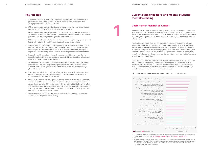## **Current state of doctors' and medical students' mental wellbeing**

## **Doctors are at high risk of burnout**

Burnout is a psychological syndrome that is characterised by overwhelming exhaustion, depersonalisation and reduced personal efficiency. 5 Initial research of this phenomenon focussed on people-oriented professions (for example, education and healthcare) where the employee is expected to put others' needs first, work long hours and do whatever it takes to help. 6

Within our survey, most respondents (80%) were at high/very high risk of burnout.<sup>7</sup> Junior doctors were most likely of all groups to be at high/very high risk of burnout (at 91%), followed by GP partners (88%), SAS doctors (87%), sessional GPs (85%), and consultants (83%). Women showed higher rates of risk of burnout than men. People working longer hours (51 hours or more) also have a high risk of burnout.

This study uses the Oldenburg Burnout Inventory (OLBI), one of a number of validated burnout inventories as it was considered easy for respondents to navigate. OLBI assesses the two core dimensions of burnout – exhaustion (for example, from long-term exposure to cognitive or physical strain) and disengagement from work. Risk of burnout among the respondents to the survey was largely driven by high scores for exhaustion. The highest score for an individual item in our survey was 'there are days when I feel tired before I arrive at work, training or study'(figure 1).

### **Figure 1: Exhaustion versus disengagement and their contribution to 'burnout'**

5 C. Maslach and M. Leiter (2016) "Understanding the burnout experience: recent research and its implications

- for psychiatry," *World Psychiatry,* <https://www.ncbi.nlm.nih.gov/pmc/articles/PMC4911781/> 6 Ibid.,
- *disengagement from work and exhaustion.*

7 A respondent's total burnout score can place the individual in categories ranging from low/very low, through average to high/very high risk of burnout. The OLBI contains 16 statements with which respondents are asked to indicate the extent of their agreement. These statements are separated into items intended to measure

## <span id="page-3-0"></span>**Key findings**

- 1. A majority of doctors (80%) in our survey were at high/very high risk of burnout with junior doctors most at risk. Burnout was driven mostly by exhaustion rather than disengagement from one's role as a doctor.
- 2. 27% of respondents reported being diagnosed with a mental health condition at some point in their life, 7% said they were diagnosed in the past year.
- 3. 40% of respondents reported currently suffering from a broader range of psychological and emotional conditions. Doctors working the longest weekly hours (51 or more hours per week) were most likely to say they were currently suffering.
- 4. 90% of respondents stated that their current working, training, or studying environment had contributed to their condition either to a significant or partial extent.
- 5. While the majority of respondents said they did not use alcohol, drugs, self-medication or prescribing as a way to cope with a mental health condition, one in three said they used it regularly or occasionally. Men and older doctors were most likely to engage in regular use of alcohol/drugs/self-medication/prescribing to cope with their condition.
- 6. Respondents with current experience of managing a condition were most likely to report feeling less able to take on additional responsibilities, to do additional hours and more likely to worry about making mistakes.
- 7. Awareness of how to access support from the employer or medical school was varied. Junior doctors were most likely to say they were not aware of how to access help or support from their employer which may reflect the frequency at which they change place of training.
- 8. Where doctors make their own choices of support, they are most likely to rely on their own GP or friends and family. 19% of respondents said they would not seek help or support from their employer or medical school.
- 9. While 45% of respondents with depression, anxiety, burnout, stress, emotional distress or a mental health condition had been offered support by their employer or medical school, there was noticeable variation among doctors and medical students in whether they feel this support was acceptable or met their needs. Worryingly, 9% of respondents said they had asked for but were not offered support; these were most likely to be older doctors, SAS or overseas qualified doctors.
- 10. In primary care, half of GPs said they or their practice had sought help or support for a condition affecting their work or training.



There are days when I feel tired before I arrive at work

After my work, I usually feel worn out and weary

After my work, I tend to need more time than in the past in order to relax and feel better

> Over time, one can become disconnected from this type of work

> It happens more and more often that I talk

about my work in a negative way

When I work I usually feel energised After working, I have enough energy for my leisure activities

I feel more and more engaged in my work

Sometimes I feel sickened by my work tasks

I can tolerate the pressure of my work very well

Lately, I tend to think less at work and do my job almost mechanically

Usually, I can manage the amount of my work well

This is the only type of work that I can imagine myself doing

I find my work to be a positive challenge

I always find new and interesting aspects of my work

### **Exhaustion** Disengagement

During my work, I often feel emotionally drained

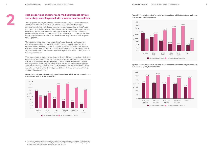### **Figure 3 – Formal diagnosis of a mental health condition (within the last year and more than one year ago) by age group**

## **High proportions of doctors and medical students have at some stage been diagnosed with a mental health condition**

The average rate of survey respondents who had received a diagnosis for a mental health condition within the last year was 7%. Rates tended to be highest for the youngest respondents, including medical students, those working a relatively low number of hours (21-30 hours per week), and female respondents. Female respondents were more than 50% more likely than their male counterparts to report a current diagnosis of a mental health problem. Similarly, SAS doctors were nearly 50% more likely to report a diagnosis than their consultant colleagues and sessional GPs were 50% more likely to have an active diagnosis than GP partners.

While respondents working the longest hours each week (51 hours or more) were likely to be at a relatively high risk of burnout, had low levels of life satisfaction, happiness and of feeling that what they do was worthwhile, they were not one of the most likely groups to report receiving a mental health diagnosis in the last year. This may reflect that once diagnosed doctors start working fewer hours. Junior doctors and SAS doctors also reported the lowest scores for anxiety (i.e. high levels of daily anxiety), life satisfaction, happiness, and feeling what they did was worthwhile.<sup>8</sup>

The data shows that an even larger proportion of respondents across all groups had received a diagnosis longer than a year ago. 20% of respondents said they had been diagnosed more than a year ago, with rates being the highest for SAS doctors, sessional GPs, and those working less than 20 hours per week. Taken together, the highest rates of diagnosis for a mental health condition by branch of practice were SAS doctors, sessional GPs and junior doctors.



8 The Office of National Statistics (ONS) use four questions to measure national-wellbeing and these were used in this survey. The questions measure wellbeing in four dimensions: life satisfaction, happiness, daily anxiety and how worthwhile one considers the things one does in their life to be.

**Figure 4 – Formal diagnosis of a mental health condition (within the last year and more** 

## **than one year ago) by hours per week**





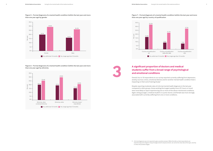### **Figure 7 – Formal diagnosis of a mental health condition (within the last year and more than one year ago) by country of qualification**

Overall, four in 10 respondents to our survey reported currently suffering from depression, anxiety, burnout, stress, emotional distress and/or another mental health condition that is impacting on their work/training/study<sup>9</sup>.

### **Figure 5 – Formal diagnosis of a mental health condition (within the last year and more than one year ago) by gender**

## **students suffer from a broad range of psychological and emotional conditions**

Despite reporting moderate rates of a formal mental health diagnosis in the last year compared to other groups, those working the longest weekly hours (51 hours or more) were most likely to report experiencing one or more of the above-mentioned conditions. Again, being younger, a medical student or a junior doctor, and female was more strongly associated with currently suffering from one or more conditions.







## Figure 6 – Formal diagnosis of a mental health condition (within the last year and more<br>
than one year ago) by ethnicity<br> **A significant proportion of doctors and medical**

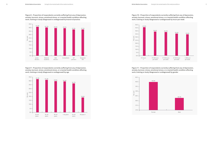**Figure 10 – Proportion of respondents currently suffering from any of depression, anxiety, burnout, stress, emotional stress, or a mental health condition affecting work, training or study (diagnosed or undiagnosed) by hours per week**

**Figure 8 – Proportion of respondents currently suffering from any of depression, anxiety, burnout, stress, emotional stress, or a mental health condition affecting work, training or study (diagnosed or undiagnosed) by branch of practice**

**Figure 9 – Proportion of respondents currently suffering from any of depression, anxiety, burnout, stress, emotional stress, or a mental health condition affecting work, training or study (diagnosed or undiagnosed) by age** 

**Figure 11 – Proportion of respondents currently suffering from any of depression, anxiety, burnout, stress, emotional stress, or a mental health condition affecting work, training or study (diagnosed or undiagnosed) by gender**







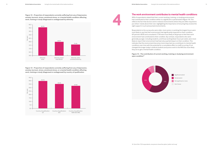## **The work environment contributes to mental health conditions**

90% of respondents stated that their current working, training, or studying environment had contributed to their condition either in a significant or partial extent (figure 14). This reflects the fact that doctors work in intense environments where they are often required to put others' needs above their own, highlighting the importance of ensuring they receive the right support in such pressurised environments.

Respondents to the survey who were older, more senior or working the longest hours were most likely to say that their environment had significantly impacted on their condition. GP partners (82%) and consultants (77%) were most likely of all groups to feel their work environment had contributed to their condition. By contrast, respondents who were generally younger, including students, and those working fewer hours per week, were more likely to report their environment had had only a partial impact on their condition. This indicates that the environment becomes more important as a contributor to mental health conditions over time with the potential for a cumulative effect on staff occurring. If not changed the longer today's medical students and juniors work in the NHS the more likely they are to get a mental health condition.

upon condition<sup>10</sup>

### **Figure 14 – The contribution of current working, training or studying environment**

Significant extent Partial extent **Not significant or none** 

**Figure 12 – Proportion of respondents currently suffering from any of depression, anxiety, burnout, stress, emotional stress, or a mental health condition affecting** 

**Figure 13 – Proportion of respondents currently suffering from any of depression, anxiety, burnout, stress, emotional stress, or a mental health condition affecting** 







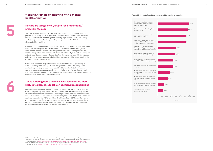## **Working, training or studying with a mental** Figure 15 – Impact of condition on working life, training or studying **health condition**

## **Doctors are using alcohol, drugs or self-medicating/ prescribing to cope**

There was a strong relationship between the use of alcohol, drugs or self-medication/ prescribing and being formally diagnosed with a mental health condition.11 For those who received a formal mental health diagnosis (currently or previously), 62% reported using alcohol, drugs or self-medication/prescribing to cope compared to 39% who had never been diagnosed with a condition.

Use of alcohol, drugs or self-medication/prescribing was most common among consultants, those aged above 64 years and male respondents. It was least common among junior doctors and female respondents. 31% of respondents who were over 64 years said they used them regularly compared to only 9% who were less than 34 years. While the survey did not distinguish between alcohol, drugs and self-medicating/prescribing, this finding could reflect a trend for younger people to be less likely to engage in risk behaviours, such as the consumption of alcohol and drugs.

Overall, men were more likely to use alcohol, drugs or self-medication/prescribing as a means of coping than women; 38% of male respondents used alcohol, drugs or selfmedication/prescribing to cope, compared with 28% of females. A study of European countries' alcohol and drug consumption shows a similar pattern<sup>12</sup> and an international study of 35 countries showed that both drinking and high-volume drinking were consistently more prevalent among men than among women.13

## **Those suffering from a mental health condition are more likely to feel less able to take on additional responsibilities**

Respondents who reported currently suffering from a condition which impacted on their work, training or study, were asked how it had affected them. There was broad agreement on the most common impacts across the different groups within the survey. Respondents with current experience of a condition were most likely to report feeling less able to take on additional responsibilities (70%), less able to do additional hours (66%), more likely to worry about making mistakes (64%) and less able to complete all the work they would like (62%) (figure 15). Respondents are also concerned about offering a worse quality of service to patients (39%) and are reconsidering their career plans (41%).

11 We are unable to distinguish between use of alcohol, drug use, self-medication and prescribing.

- 12 European Monitoring Centre for Drugs and Drug Addiction (2005) "Differences in patterns of drug use between women and men", [http://www.emcdda.europa.eu/attachements.cfm/att\\_34281\\_EN\\_TDS\\_gender.pdf](http://www.emcdda.europa.eu/attachements.cfm/att_34281_EN_TDS_gender.pdf)
- 13 Richard Wilsnack etc al (2009) Gender and alcohol consumption: patterns from the multinational Genacis

project" *Addiction*, <https://www.ncbi.nlm.nih.gov/pmc/articles/PMC2844334/>





I feel less able to take on additional responsibilities (e.g. management academic opportunities

I am less able to deliver all the work, or complete all the study or training, I want to during the working/studying day

I worry that I will fail my examinations, my ARCP or CCT (if studying or training

I feel less able to make decissions about my career

I have had to reconsider my career plans (e.g. seeking promotion, taking retirement, choosing different specialty

My relationship with clinical colleagues or fellow students/trainees has become more difficult

My relationship with management or tutors/supervisors has become more difficult

What's the impact of your condition on your working life, training or studying?

I worry that I will not achieve revalidation (if working)

I worry that I offer a worse quality of service to my patients (if working)

I feel less able to work or study/train additional hours

I worry about making mistakes in my work, training or study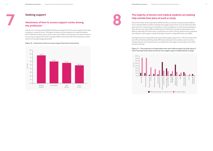## **The majority of doctors and medical students are seeking help outside their place of work or study**

Almost two-thirds of all respondents (65%) who were currently or had previously suffered from a mental health condition said they had sought support from sources other than their place of work or study. Groups most likely to report having done so were those working less than 20 hours per week (76%) and SAS doctors (72%) with no group of respondents more likely to seek help from their work or study than from other sources. Women were somewhat more likely to seek support outside their place of work or study (67%) than men (58%).

# **Seeking support**<br>Awareness of how to access support varies among<br>the profession **Awareness of how to access support varies among the profession**

Among the services respondents had *personally sought support* from, 72% had chosen their own GP and friends and family, while 34% had used private and voluntary sector services. Younger doctors and students were more likely than other ages to seek support from their friends and family.

### **Figure 17 – The proportion of respondents who were offered support by their place of work/training/study (blue) and those who sought support independently (orange)**



Overall, six in 10 respondents (63%) said they were aware of how to access support from their employer or medical school. This figure increases to three-quarters for medical students alone (76%). By contrast, junior doctors were most likely to say they were not aware of how to access help or support from their employer (49%), which may reflect the frequency at which doctors in training change placement.

### **Figure 16 – Awareness of how to access support (by branch of practice)**

**7**



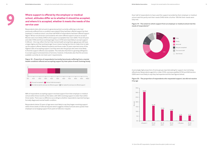Over half of respondents to have used the support provided by their employer or medical school said this partly met their needs (54%) while a further 10% felt their needs were fully met.

### **Figure 19 – The extent to which support from an employer or medical school met the needs of respondents14**

A worryingly high proportion of some groups reported asking for support, but not being offered any. Respondents aged 64 or older (31%), overseas qualified (21%) and SAS doctors (20%) were most likely to say they had experienced this (see figures below).

### **Figure 20 – The proportion of respondents who requested support, but did not receive it by age**

**Where support is offered by the employer or medical school, attitudes differ as to whether it should be accepted, and where it is accepted, whether it meets the needs of the service user**

Respondents (who did not work in general practice) currently suffering or who had previously suffered from a condition were asked if they had been offered support by their employer or medical school. Less than half (45%) of respondents had been offered support (figure 18) but not all doctors and students who were offered support chose to accept it. Women were more likely (34%) to find support acceptable than men (26%). Those 64 years and older (15%) and those working longer hours (21%) were least likely to accept support if offered – this may reflect the fact that mental health among these age groups still have a large stigma and that working longer hours means having less time to make time to take up the support offered. Medical students and those under 25 years reported some of the highest rates of accepting support, but they were also the groups who were most likely to find the support offered unacceptable. This indicates that there is growing willingness to accept support and awareness of services, however, it illustrates also that the services available currently do not meet users' requirements.

**Figure 18 – Proportion of respondents (currently/previously suffering from a mental health condition) offered and accepting support by their place of work/training/study**

**9**

88% of respondents accepting support received support from their employer or medical school within three months at the latest, with 56% receiving support no later than within three weeks. There was no difference according to whether respondents reported having a formally diagnosed mental health condition.

Respondents below 25 years of age were most likely to say they began receiving support within three weeks of referral/request which suggests medical schools were quicker than employers at arranging support from point of referral or request.





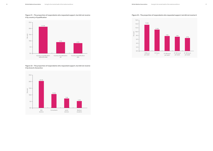## **it by country of qualification**



**Figure 22 – The proportion of respondents who requested support, but did not receive** 





### Figure 21 – The proportion of respondents who requested support, but did not receive external to the ceive it

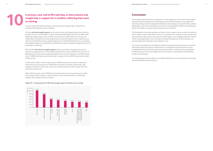## **Conclusion**

The findings presented by this survey paint a concerning picture, with doctors and medical students experiencing burnout, psychological or emotional conditions, and a significant minority turning to alcohol/drugs/self-medication/prescribing to cope with their condition. Respondents have told us that their environment is impacting their health and wellbeing as well as their ability to provide the best quality care for patients.

The findings also show that awareness of how to access support varies, as does the extent to which support meets respondents' needs. On a positive note, we also see that some groups, particularly younger doctors and medical students appear more engaged with their mental health, accepting support from their place of study/training/work, and less likely to use alcohol/drugs/self-medication/prescribing to cope.

This survey has helped us to identify the problems being experienced by doctors and think about what needs to be done to address them. It indicates also the importance of both providing effective care for those who have mental health conditions and ensuring there is effective support for those at high risk of burnout prior to any potential mental health conditions developing.

The following key principles offer a set of high-level points, as a starting point for improving the mental health of the profession.

## **In primary care, half of GPs said they or their practice had sought help or support for a condition affecting their work or training.**

Just over half of GPs (53%) said they or their practice had sought help or support for a condition affecting their work or training.

Of those **who had sought support**, as for other doctors, the highest proportion preferred to seek out their own GP (63%) or friends and family (49%) (figure 24). Only one-fifth of GPs (20%) had sought support from an NHS or Government funded health service (e.g. via a Health Board or Clinical Commissioning Group). Included among the 'other' responses, are referral to the NHS Practitioner Health Programme, the NHS GP Health Service, counselling (including through the Local Medical Committee) and other individual arrangements such as coaching or mentoring.

Of those GPs **who had not sought support** either personally or through their practice, almost an equal proportion of respondents said they were aware (46%) of how to access an NHS/Government funded occupational health service to those that were not (44%). Almost one in 10 (8%) said they would not seek help or support from an NHS/Government funded health service.

Of the small number of GPs to have used an NHS/Government funded occupational health service (37 people), most (54%) felt the support met their needs partly, 16% thought it met their needs fully, whereas a similar proportion (14%) thought it did not meet their needs at all.

58% of GPs who have used an NHS/Government funded service received support within three weeks of their request or referral, while a further one-third (33%) received help between three weeks and three months.



**10**

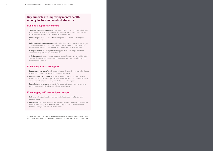## **Key principles to improving mental health among doctors and medical students**

### **Building a supportive culture**

- **Valuing the NHS workforce:** promoting shared values, fostering a sense of fulfilment and enjoyment at work, involving staff in mental health policy design, procedure and implementation, offering adjustments (time off, reduced hours)
- **Preventing the cause of ill-health**: reducing risks and pressures, fostering a noblame environment
- **Raising mental health awareness**: addressing the stigma around accessing support services, normalising and encouraging help-seeking behaviour, offering education/ training opportunities to improve awareness, creating mental health champions
- **Using innovation and best practice**: being proactive in providing support and designing strategies to improve mental health
- **Offering support**: recognising and providing support for potentially stressful events/ situations (traumatic incidents, career transitions), training supervisors/educators to help/signpost to services

### **Enhancing access to support**

- **Improving awareness of services**: promoting services regularly, encouraging the use of services, providing clear guidance on support procedures
- **Meeting service user needs**: providing access to or signposting to mental health support services, addiction support services and occupational health support, ensuring any services offered provide timely, confidential and flexible support
- **Providing spaces to rest**: ensuring staff have access to areas where they can have refreshments, speak with colleagues, reflect on experiences

### **Encouraging self-care and peer support**

- **Self-care**: valuing and maintaining one's mental health, acknowledging support available to you
- **Peer support**: recognising ill-health in colleagues and offering support, understanding the difficulties colleagues face and being alert to signs of mental health problems, fostering a collegiate and inclusive environment

The next phase of our research will look at some of these issues in more detail and will inform the development of a detailed set of solutions to be published in summer 2019.